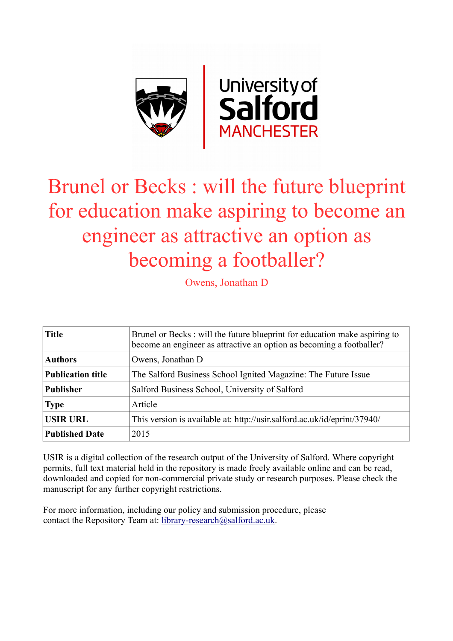

## Brunel or Becks : will the future blueprint for education make aspiring to become an engineer as attractive an option as becoming a footballer?

Owens, Jonathan D

| <b>Title</b>             | Brunel or Becks: will the future blueprint for education make aspiring to<br>become an engineer as attractive an option as becoming a footballer? |
|--------------------------|---------------------------------------------------------------------------------------------------------------------------------------------------|
| <b>Authors</b>           | Owens, Jonathan D                                                                                                                                 |
| <b>Publication title</b> | The Salford Business School Ignited Magazine: The Future Issue                                                                                    |
| <b>Publisher</b>         | Salford Business School, University of Salford                                                                                                    |
| <b>Type</b>              | Article                                                                                                                                           |
| <b>USIR URL</b>          | This version is available at: http://usir.salford.ac.uk/id/eprint/37940/                                                                          |
| <b>Published Date</b>    | 2015                                                                                                                                              |

USIR is a digital collection of the research output of the University of Salford. Where copyright permits, full text material held in the repository is made freely available online and can be read, downloaded and copied for non-commercial private study or research purposes. Please check the manuscript for any further copyright restrictions.

For more information, including our policy and submission procedure, please contact the Repository Team at: [library-research@salford.ac.uk.](mailto:library-research@salford.ac.uk)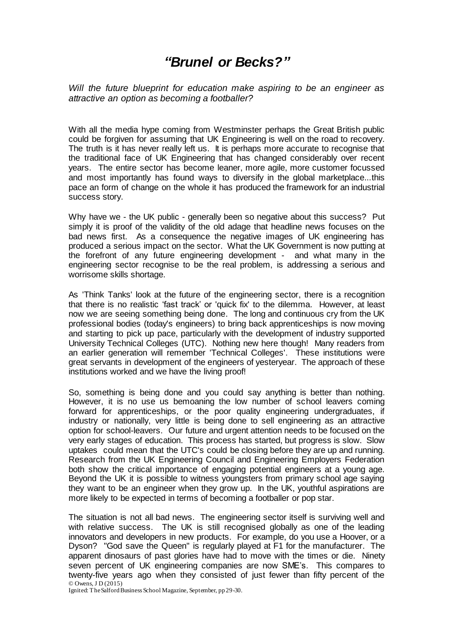## *"Brunel or Becks?"*

*Will the future blueprint for education make aspiring to be an engineer as attractive an option as becoming a footballer?*

With all the media hype coming from Westminster perhaps the Great British public could be forgiven for assuming that UK Engineering is well on the road to recovery. The truth is it has never really left us. It is perhaps more accurate to recognise that the traditional face of UK Engineering that has changed considerably over recent years. The entire sector has become leaner, more agile, more customer focussed and most importantly has found ways to diversify in the global marketplace...this pace an form of change on the whole it has produced the framework for an industrial success story.

Why have we - the UK public - generally been so negative about this success? Put simply it is proof of the validity of the old adage that headline news focuses on the bad news first. As a consequence the negative images of UK engineering has produced a serious impact on the sector. What the UK Government is now putting at the forefront of any future engineering development - and what many in the engineering sector recognise to be the real problem, is addressing a serious and worrisome skills shortage.

As 'Think Tanks' look at the future of the engineering sector, there is a recognition that there is no realistic 'fast track' or 'quick fix' to the dilemma. However, at least now we are seeing something being done. The long and continuous cry from the UK professional bodies (today's engineers) to bring back apprenticeships is now moving and starting to pick up pace, particularly with the development of industry supported University Technical Colleges (UTC). Nothing new here though! Many readers from an earlier generation will remember 'Technical Colleges'. These institutions were great servants in development of the engineers of yesteryear. The approach of these institutions worked and we have the living proof!

So, something is being done and you could say anything is better than nothing. However, it is no use us bemoaning the low number of school leavers coming forward for apprenticeships, or the poor quality engineering undergraduates, if industry or nationally, very little is being done to sell engineering as an attractive option for school-leavers. Our future and urgent attention needs to be focused on the very early stages of education. This process has started, but progress is slow. Slow uptakes could mean that the UTC's could be closing before they are up and running. Research from the UK Engineering Council and Engineering Employers Federation both show the critical importance of engaging potential engineers at a young age. Beyond the UK it is possible to witness youngsters from primary school age saying they want to be an engineer when they grow up. In the UK, youthful aspirations are more likely to be expected in terms of becoming a footballer or pop star.

© Owens, J D (2015) The situation is not all bad news. The engineering sector itself is surviving well and with relative success. The UK is still recognised globally as one of the leading innovators and developers in new products. For example, do you use a Hoover, or a Dyson? "God save the Queen" is regularly played at F1 for the manufacturer. The apparent dinosaurs of past glories have had to move with the times or die. Ninety seven percent of UK engineering companies are now SME's. This compares to twenty-five years ago when they consisted of just fewer than fifty percent of the

Ignited: The Salford Business School Magazine, September, pp 29-30.